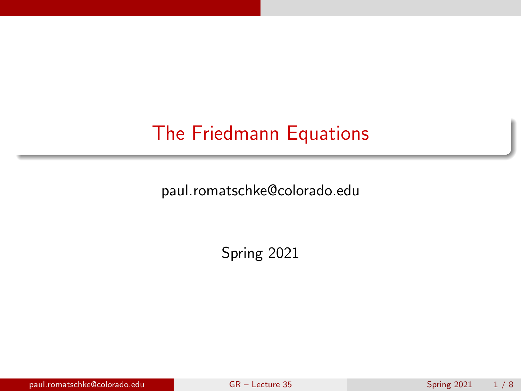# <span id="page-0-0"></span>The Friedmann Equations

paul.romatschke@colorado.edu

Spring 2021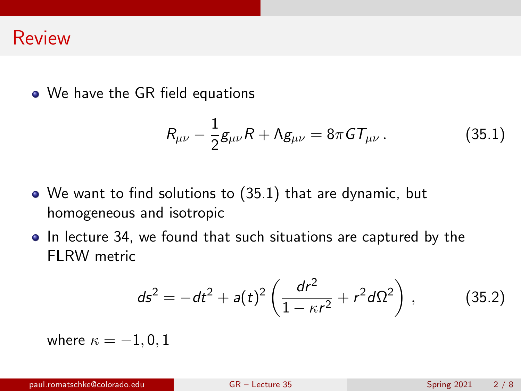#### Review

• We have the GR field equations

<span id="page-1-0"></span>
$$
R_{\mu\nu} - \frac{1}{2}g_{\mu\nu}R + \Lambda g_{\mu\nu} = 8\pi G T_{\mu\nu}.
$$
 (35.1)

- We want to find solutions to [\(35.1\)](#page-1-0) that are dynamic, but homogeneous and isotropic
- In lecture 34, we found that such situations are captured by the FI RW metric

<span id="page-1-1"></span>
$$
ds^{2} = -dt^{2} + a(t)^{2} \left( \frac{dr^{2}}{1 - \kappa r^{2}} + r^{2} d\Omega^{2} \right), \qquad (35.2)
$$

where  $\kappa = -1, 0, 1$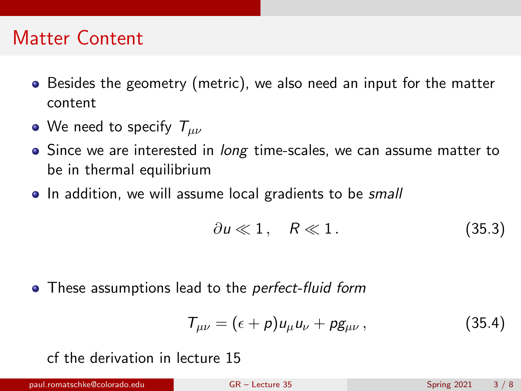## Matter Content

- Besides the geometry (metric), we also need an input for the matter content
- We need to specify  $T_{\mu\nu}$
- Since we are interested in *long* time-scales, we can assume matter to be in thermal equilibrium
- In addition, we will assume local gradients to be small

$$
\partial u \ll 1, \quad R \ll 1. \tag{35.3}
$$

• These assumptions lead to the *perfect-fluid form* 

<span id="page-2-0"></span>
$$
T_{\mu\nu} = (\epsilon + p)u_{\mu}u_{\nu} + pg_{\mu\nu}, \qquad (35.4)
$$

cf the derivation in lecture 15

paul.romatschke@colorado.edu [GR – Lecture 35](#page-0-0) Spring 2021 3 / 8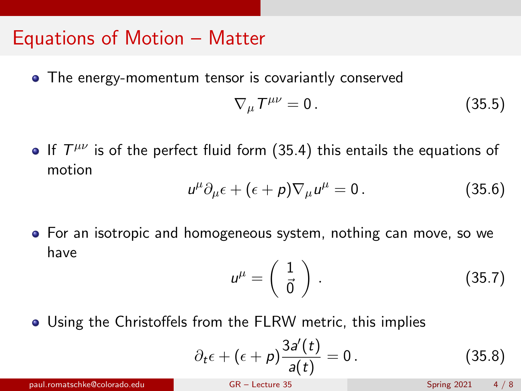### Equations of Motion – Matter

• The energy-momentum tensor is covariantly conserved

$$
\nabla_{\mu}T^{\mu\nu}=0.\t(35.5)
$$

If  $T^{\mu\nu}$  is of the perfect fluid form [\(35.4\)](#page-2-0) this entails the equations of motion

$$
u^{\mu}\partial_{\mu}\epsilon + (\epsilon + \rho)\nabla_{\mu}u^{\mu} = 0.
$$
 (35.6)

For an isotropic and homogeneous system, nothing can move, so we have

$$
u^{\mu} = \left(\begin{array}{c} 1\\ \vec{0} \end{array}\right). \tag{35.7}
$$

Using the Christoffels from the FLRW metric, this implies

$$
\partial_t \epsilon + (\epsilon + \rho) \frac{3a'(t)}{a(t)} = 0. \qquad (35.8)
$$

paul.romatschke@colorado.edu [GR – Lecture 35](#page-0-0) Spring 2021 4 / 8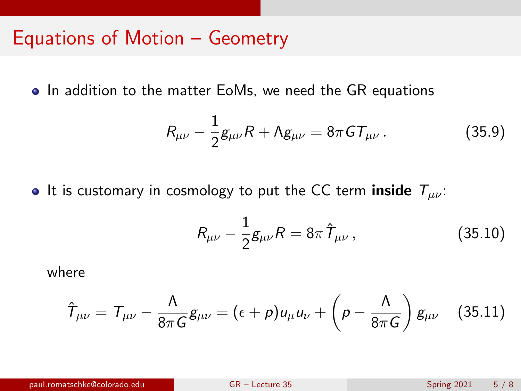### Equations of Motion – Geometry

• In addition to the matter EoMs, we need the GR equations

$$
R_{\mu\nu} - \frac{1}{2}g_{\mu\nu}R + \Lambda g_{\mu\nu} = 8\pi G T_{\mu\nu}.
$$
 (35.9)

• It is customary in cosmology to put the CC term inside  $T_{\mu\nu}$ :

$$
R_{\mu\nu} - \frac{1}{2}g_{\mu\nu}R = 8\pi \,\hat{T}_{\mu\nu} \,, \tag{35.10}
$$

where

$$
\hat{\tau}_{\mu\nu} = \tau_{\mu\nu} - \frac{\Lambda}{8\pi G} g_{\mu\nu} = (\epsilon + \rho) u_{\mu} u_{\nu} + \left(\rho - \frac{\Lambda}{8\pi G}\right) g_{\mu\nu} \quad (35.11)
$$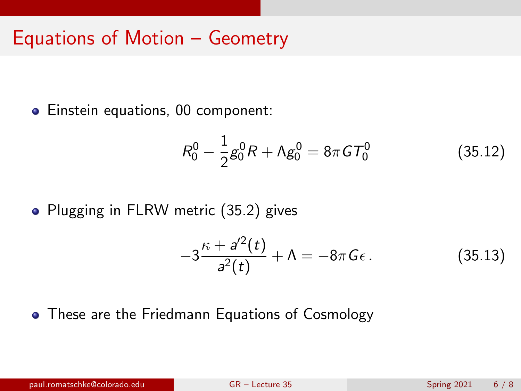### Equations of Motion – Geometry

**Einstein equations, 00 component:** 

$$
R_0^0 - \frac{1}{2}g_0^0 R + \Lambda g_0^0 = 8\pi G T_0^0 \tag{35.12}
$$

• Plugging in FLRW metric [\(35.2\)](#page-1-1) gives

$$
-3\frac{\kappa + a^{\prime 2}(t)}{a^2(t)} + \Lambda = -8\pi G\epsilon.
$$
 (35.13)

• These are the Friedmann Equations of Cosmology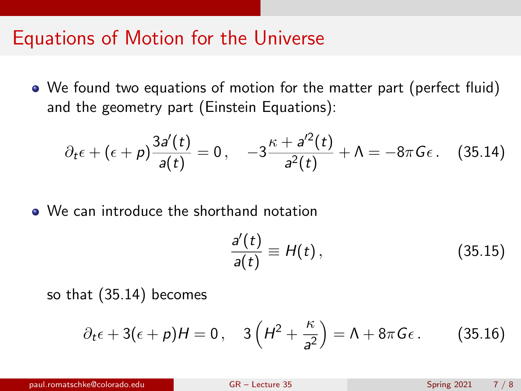#### Equations of Motion for the Universe

We found two equations of motion for the matter part (perfect fluid) and the geometry part (Einstein Equations):

<span id="page-6-0"></span>
$$
\partial_t \epsilon + (\epsilon + \rho) \frac{3a'(t)}{a(t)} = 0, \quad -3 \frac{\kappa + a'^2(t)}{a^2(t)} + \Lambda = -8\pi G \epsilon. \quad (35.14)
$$

We can introduce the shorthand notation

$$
\frac{a'(t)}{a(t)} \equiv H(t),\qquad(35.15)
$$

so that [\(35.14\)](#page-6-0) becomes

$$
\partial_t \epsilon + 3(\epsilon + \rho)H = 0, \quad 3\left(H^2 + \frac{\kappa}{a^2}\right) = \Lambda + 8\pi G\epsilon. \tag{35.16}
$$